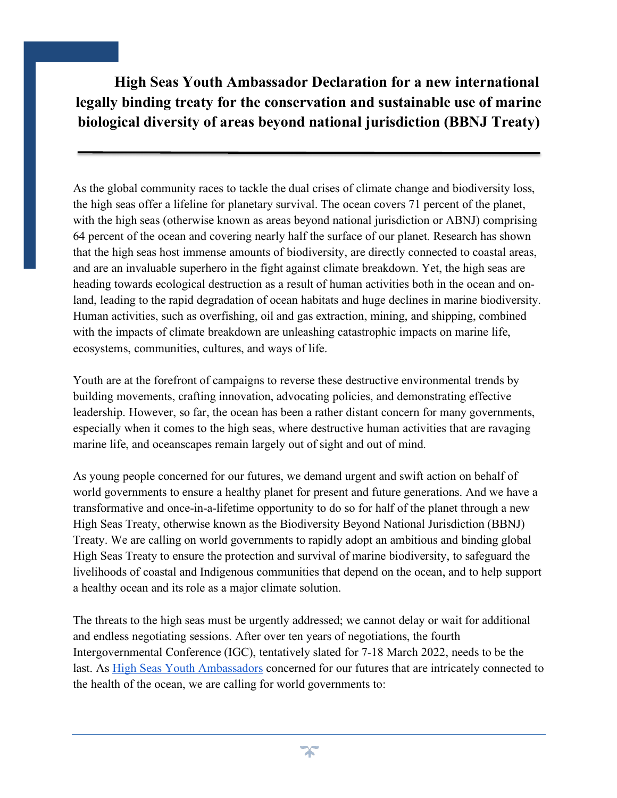**High Seas Youth Ambassador Declaration for a new international legally binding treaty for the conservation and sustainable use of marine biological diversity of areas beyond national jurisdiction (BBNJ Treaty)**

As the global community races to tackle the dual crises of climate change and biodiversity loss, the high seas offer a lifeline for planetary survival. The ocean covers 71 percent of the planet, with the high seas (otherwise known as areas beyond national jurisdiction or ABNJ) comprising 64 percent of the ocean and covering nearly half the surface of our planet. Research has shown that the high seas host immense amounts of biodiversity, are directly connected to coastal areas, and are an invaluable superhero in the fight against climate breakdown. Yet, the high seas are heading towards ecological destruction as a result of human activities both in the ocean and onland, leading to the rapid degradation of ocean habitats and huge declines in marine biodiversity. Human activities, such as overfishing, oil and gas extraction, mining, and shipping, combined with the impacts of climate breakdown are unleashing catastrophic impacts on marine life, ecosystems, communities, cultures, and ways of life.

Youth are at the forefront of campaigns to reverse these destructive environmental trends by building movements, crafting innovation, advocating policies, and demonstrating effective leadership. However, so far, the ocean has been a rather distant concern for many governments, especially when it comes to the high seas, where destructive human activities that are ravaging marine life, and oceanscapes remain largely out of sight and out of mind.

As young people concerned for our futures, we demand urgent and swift action on behalf of world governments to ensure a healthy planet for present and future generations. And we have a transformative and once-in-a-lifetime opportunity to do so for half of the planet through a new High Seas Treaty, otherwise known as the Biodiversity Beyond National Jurisdiction (BBNJ) Treaty. We are calling on world governments to rapidly adopt an ambitious and binding global High Seas Treaty to ensure the protection and survival of marine biodiversity, to safeguard the livelihoods of coastal and Indigenous communities that depend on the ocean, and to help support a healthy ocean and its role as a major climate solution.

The threats to the high seas must be urgently addressed; we cannot delay or wait for additional and endless negotiating sessions. After over ten years of negotiations, the fourth Intergovernmental Conference (IGC), tentatively slated for 7-18 March 2022, needs to be the last. As High Seas Youth Ambassadors concerned for our futures that are intricately connected to the health of the ocean, we are calling for world governments to:

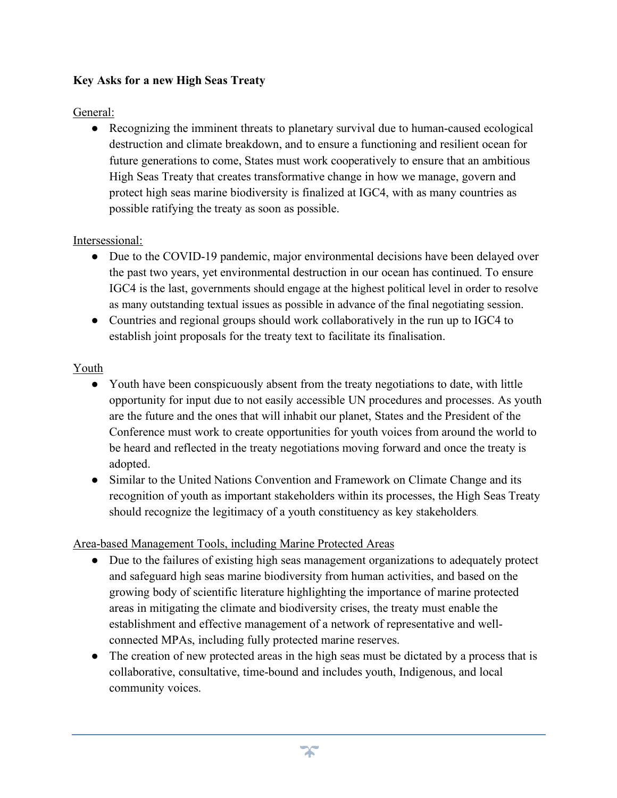## **Key Asks for a new High Seas Treaty**

### General:

• Recognizing the imminent threats to planetary survival due to human-caused ecological destruction and climate breakdown, and to ensure a functioning and resilient ocean for future generations to come, States must work cooperatively to ensure that an ambitious High Seas Treaty that creates transformative change in how we manage, govern and protect high seas marine biodiversity is finalized at IGC4, with as many countries as possible ratifying the treaty as soon as possible.

### Intersessional:

- Due to the COVID-19 pandemic, major environmental decisions have been delayed over the past two years, yet environmental destruction in our ocean has continued. To ensure IGC4 is the last, governments should engage at the highest political level in order to resolve as many outstanding textual issues as possible in advance of the final negotiating session.
- Countries and regional groups should work collaboratively in the run up to IGC4 to establish joint proposals for the treaty text to facilitate its finalisation.

### Youth

- Youth have been conspicuously absent from the treaty negotiations to date, with little opportunity for input due to not easily accessible UN procedures and processes. As youth are the future and the ones that will inhabit our planet, States and the President of the Conference must work to create opportunities for youth voices from around the world to be heard and reflected in the treaty negotiations moving forward and once the treaty is adopted.
- Similar to the United Nations Convention and Framework on Climate Change and its recognition of youth as important stakeholders within its processes, the High Seas Treaty should recognize the legitimacy of a youth constituency as key stakeholders.

# Area-based Management Tools, including Marine Protected Areas

- Due to the failures of existing high seas management organizations to adequately protect and safeguard high seas marine biodiversity from human activities, and based on the growing body of scientific literature highlighting the importance of marine protected areas in mitigating the climate and biodiversity crises, the treaty must enable the establishment and effective management of a network of representative and wellconnected MPAs, including fully protected marine reserves.
- The creation of new protected areas in the high seas must be dictated by a process that is collaborative, consultative, time-bound and includes youth, Indigenous, and local community voices.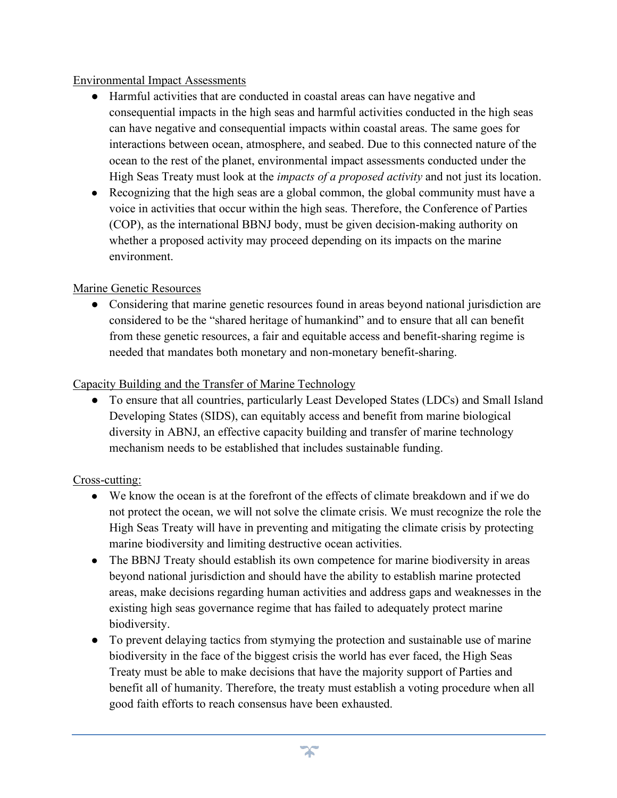### Environmental Impact Assessments

- Harmful activities that are conducted in coastal areas can have negative and consequential impacts in the high seas and harmful activities conducted in the high seas can have negative and consequential impacts within coastal areas. The same goes for interactions between ocean, atmosphere, and seabed. Due to this connected nature of the ocean to the rest of the planet, environmental impact assessments conducted under the High Seas Treaty must look at the *impacts of a proposed activity* and not just its location.
- Recognizing that the high seas are a global common, the global community must have a voice in activities that occur within the high seas. Therefore, the Conference of Parties (COP), as the international BBNJ body, must be given decision-making authority on whether a proposed activity may proceed depending on its impacts on the marine environment.

### Marine Genetic Resources

• Considering that marine genetic resources found in areas beyond national jurisdiction are considered to be the "shared heritage of humankind" and to ensure that all can benefit from these genetic resources, a fair and equitable access and benefit-sharing regime is needed that mandates both monetary and non-monetary benefit-sharing.

### Capacity Building and the Transfer of Marine Technology

● To ensure that all countries, particularly Least Developed States (LDCs) and Small Island Developing States (SIDS), can equitably access and benefit from marine biological diversity in ABNJ, an effective capacity building and transfer of marine technology mechanism needs to be established that includes sustainable funding.

# Cross-cutting:

- We know the ocean is at the forefront of the effects of climate breakdown and if we do not protect the ocean, we will not solve the climate crisis. We must recognize the role the High Seas Treaty will have in preventing and mitigating the climate crisis by protecting marine biodiversity and limiting destructive ocean activities.
- The BBNJ Treaty should establish its own competence for marine biodiversity in areas beyond national jurisdiction and should have the ability to establish marine protected areas, make decisions regarding human activities and address gaps and weaknesses in the existing high seas governance regime that has failed to adequately protect marine biodiversity.
- To prevent delaying tactics from stymying the protection and sustainable use of marine biodiversity in the face of the biggest crisis the world has ever faced, the High Seas Treaty must be able to make decisions that have the majority support of Parties and benefit all of humanity. Therefore, the treaty must establish a voting procedure when all good faith efforts to reach consensus have been exhausted.